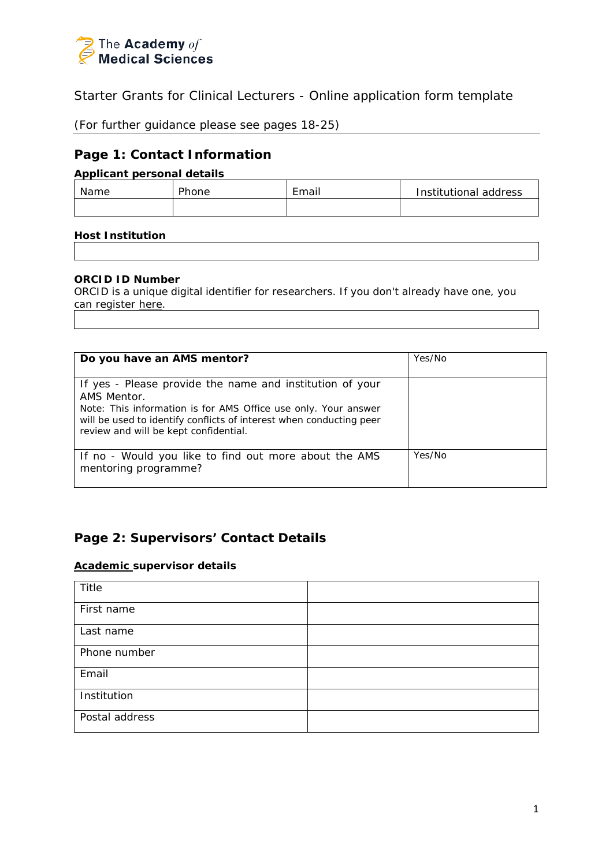

Starter Grants for Clinical Lecturers - Online application form template

(For further guidance please see pages 18-25)

## **Page 1: Contact Information**

## **Applicant personal details**

| Name | Phone | Email | Institutional address |
|------|-------|-------|-----------------------|
|      |       |       |                       |

## **Host Institution**

## **ORCID ID Number**

ORCID is a unique digital identifier for researchers. If you don't already have one, you can register [here.](http://orcid.org/)

| Do you have an AMS mentor?                                                                                                                                                                                                                                | Yes/No |
|-----------------------------------------------------------------------------------------------------------------------------------------------------------------------------------------------------------------------------------------------------------|--------|
| If yes - Please provide the name and institution of your<br>AMS Mentor.<br>Note: This information is for AMS Office use only. Your answer<br>will be used to identify conflicts of interest when conducting peer<br>review and will be kept confidential. |        |
| If no - Would you like to find out more about the AMS<br>mentoring programme?                                                                                                                                                                             | Yes/No |

# **Page 2: Supervisors' Contact Details**

## **Academic supervisor details**

| Title          |  |
|----------------|--|
| First name     |  |
| Last name      |  |
| Phone number   |  |
| Email          |  |
| Institution    |  |
| Postal address |  |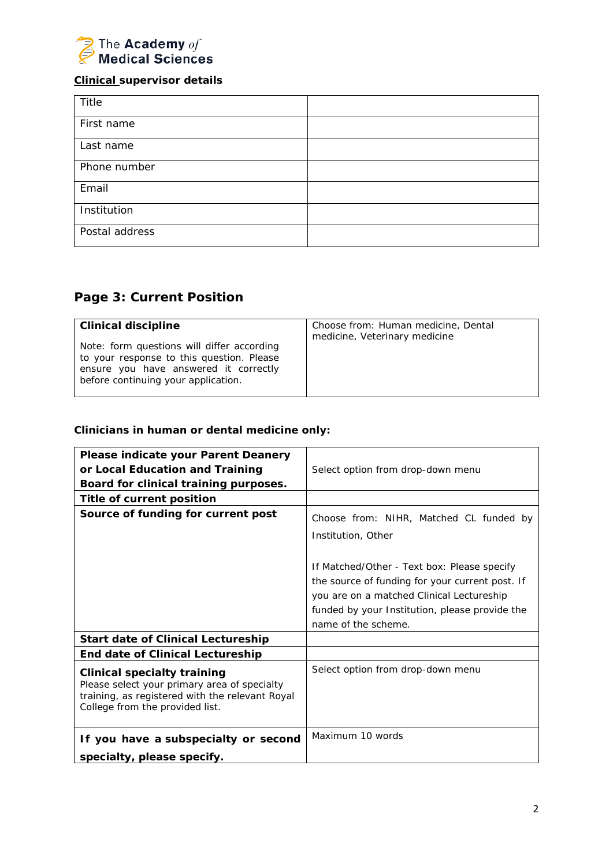

## **Clinical supervisor details**

| Title          |  |
|----------------|--|
| First name     |  |
| Last name      |  |
| Phone number   |  |
| Email          |  |
| Institution    |  |
| Postal address |  |

# **Page 3: Current Position**

| <b>Clinical discipline</b><br>Note: form questions will differ according<br>to your response to this question. Please<br>ensure you have answered it correctly<br>before continuing your application. | Choose from: Human medicine, Dental<br>medicine, Veterinary medicine |
|-------------------------------------------------------------------------------------------------------------------------------------------------------------------------------------------------------|----------------------------------------------------------------------|
|-------------------------------------------------------------------------------------------------------------------------------------------------------------------------------------------------------|----------------------------------------------------------------------|

# *Clinicians in human or dental medicine only:*

| Please indicate your Parent Deanery<br>or Local Education and Training<br>Board for clinical training purposes.                                                   | Select option from drop-down menu                                                                                                                                                                                                                                                     |  |
|-------------------------------------------------------------------------------------------------------------------------------------------------------------------|---------------------------------------------------------------------------------------------------------------------------------------------------------------------------------------------------------------------------------------------------------------------------------------|--|
| Title of current position                                                                                                                                         |                                                                                                                                                                                                                                                                                       |  |
| Source of funding for current post                                                                                                                                | Choose from: NIHR, Matched CL funded by<br>Institution, Other<br>If Matched/Other - Text box: Please specify<br>the source of funding for your current post. If<br>you are on a matched Clinical Lectureship<br>funded by your Institution, please provide the<br>name of the scheme. |  |
| <b>Start date of Clinical Lectureship</b>                                                                                                                         |                                                                                                                                                                                                                                                                                       |  |
| <b>End date of Clinical Lectureship</b>                                                                                                                           |                                                                                                                                                                                                                                                                                       |  |
| Clinical specialty training<br>Please select your primary area of specialty<br>training, as registered with the relevant Royal<br>College from the provided list. | Select option from drop-down menu                                                                                                                                                                                                                                                     |  |
| If you have a subspecialty or second                                                                                                                              | Maximum 10 words                                                                                                                                                                                                                                                                      |  |
| specialty, please specify.                                                                                                                                        |                                                                                                                                                                                                                                                                                       |  |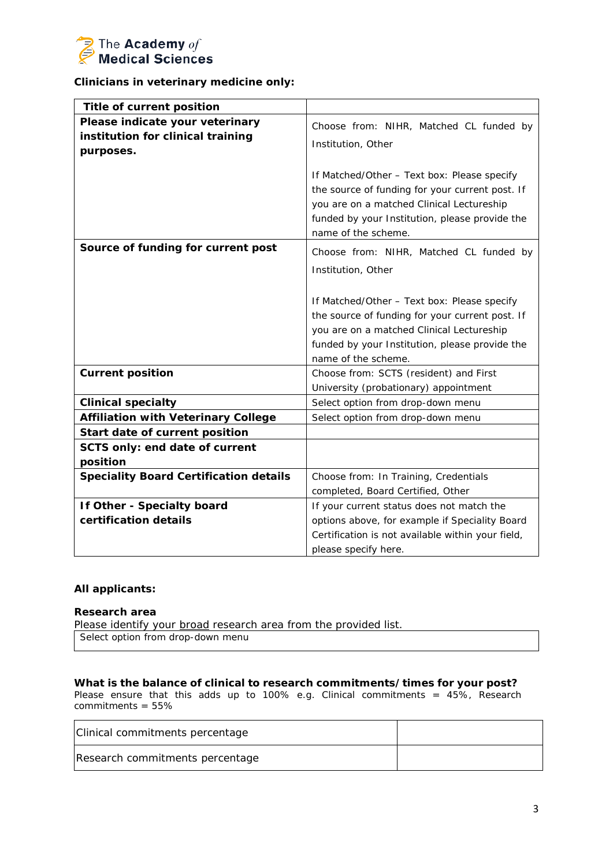

### *Clinicians in veterinary medicine only:*

| <b>Title of current position</b>                                                  |                                                                                                                                                                                                                      |
|-----------------------------------------------------------------------------------|----------------------------------------------------------------------------------------------------------------------------------------------------------------------------------------------------------------------|
| Please indicate your veterinary<br>institution for clinical training<br>purposes. | Choose from: NIHR, Matched CL funded by<br>Institution, Other                                                                                                                                                        |
|                                                                                   | If Matched/Other - Text box: Please specify<br>the source of funding for your current post. If<br>you are on a matched Clinical Lectureship<br>funded by your Institution, please provide the<br>name of the scheme. |
| Source of funding for current post                                                | Choose from: NIHR, Matched CL funded by<br>Institution, Other                                                                                                                                                        |
|                                                                                   | If Matched/Other - Text box: Please specify<br>the source of funding for your current post. If<br>you are on a matched Clinical Lectureship<br>funded by your Institution, please provide the<br>name of the scheme. |
| <b>Current position</b>                                                           | Choose from: SCTS (resident) and First<br>University (probationary) appointment                                                                                                                                      |
| <b>Clinical specialty</b>                                                         | Select option from drop-down menu                                                                                                                                                                                    |
| <b>Affiliation with Veterinary College</b>                                        | Select option from drop-down menu                                                                                                                                                                                    |
| Start date of current position                                                    |                                                                                                                                                                                                                      |
| SCTS only: end date of current<br>position                                        |                                                                                                                                                                                                                      |
| <b>Speciality Board Certification details</b>                                     | Choose from: In Training, Credentials<br>completed, Board Certified, Other                                                                                                                                           |
| <b>If Other - Specialty board</b><br>certification details                        | If your current status does not match the<br>options above, for example if Speciality Board<br>Certification is not available within your field,                                                                     |
|                                                                                   | please specify here.                                                                                                                                                                                                 |

#### *All applicants:*

#### **Research area**

Please identify your broad research area from the provided list. Select option from drop-down menu

**What is the balance of clinical to research commitments/times for your post?** *Please ensure that this adds up to 100% e.g. Clinical commitments = 45%, Research commitments = 55%*

| Clinical commitments percentage |  |
|---------------------------------|--|
| Research commitments percentage |  |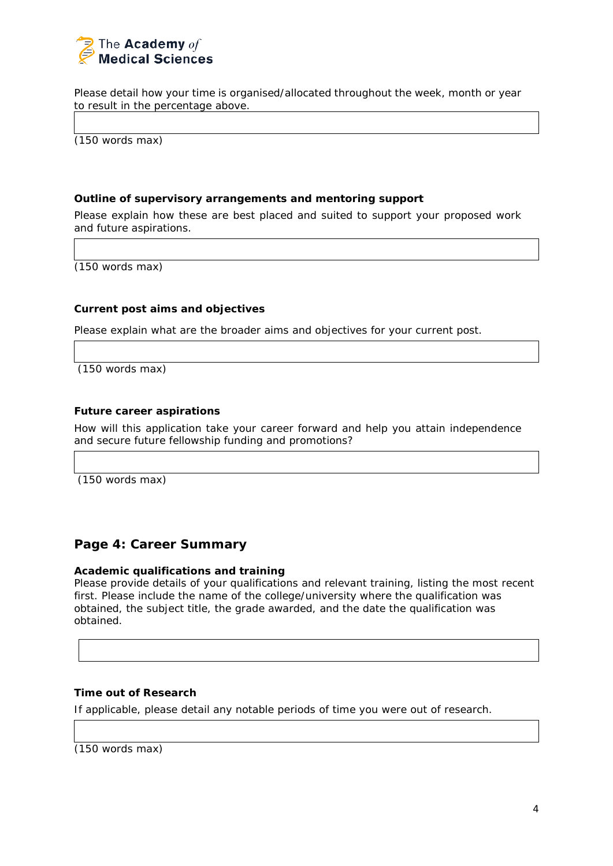

Please detail how your time is organised/allocated throughout the week, month or year to result in the percentage above.

(150 words max)

#### **Outline of supervisory arrangements and mentoring support**

Please explain how these are best placed and suited to support your proposed work and future aspirations.

(150 words max)

### **Current post aims and objectives**

Please explain what are the broader aims and objectives for your current post.

(150 words max)

### **Future career aspirations**

How will this application take your career forward and help you attain independence and secure future fellowship funding and promotions?

(150 words max)

## **Page 4: Career Summary**

### **Academic qualifications and training**

Please provide details of your qualifications and relevant training, listing the most recent first. Please include the name of the college/university where the qualification was obtained, the subject title, the grade awarded, and the date the qualification was obtained.

### **Time out of Research**

If applicable, please detail any notable periods of time you were out of research.

(150 words max)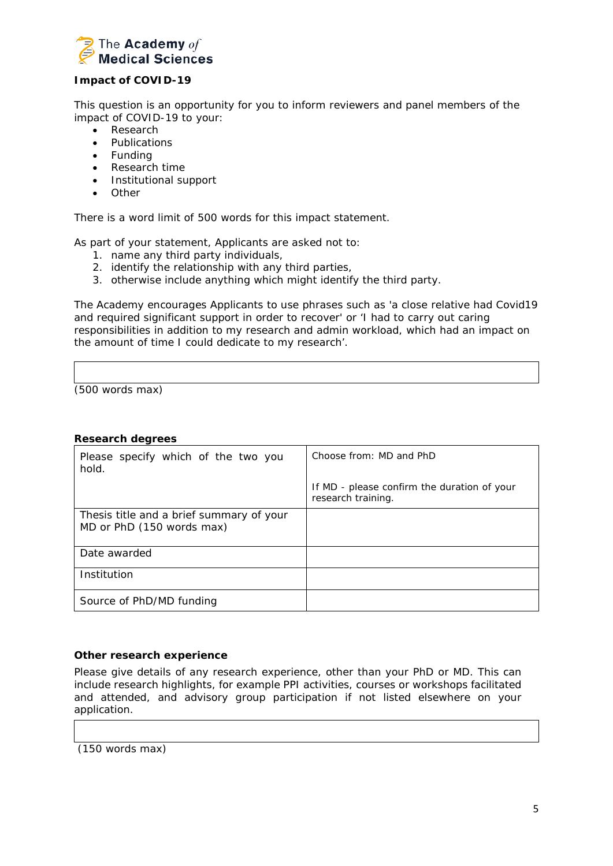

## **Impact of COVID-19**

This question is an opportunity for you to inform reviewers and panel members of the impact of COVID-19 to your:

- Research
- Publications
- Funding
- Research time
- Institutional support
- Other

There is a word limit of 500 words for this impact statement.

As part of your statement, Applicants are asked not to:

- 1. name any third party individuals,
- 2. identify the relationship with any third parties,
- 3. otherwise include anything which might identify the third party.

The Academy encourages Applicants to use phrases such as 'a close relative had Covid19 and required significant support in order to recover' or 'I had to carry out caring responsibilities in addition to my research and admin workload, which had an impact on the amount of time I could dedicate to my research'.

(500 words max)

#### **Research degrees**

| Please specify which of the two you<br>hold.                          | Choose from: MD and PhD                                           |
|-----------------------------------------------------------------------|-------------------------------------------------------------------|
|                                                                       | If MD - please confirm the duration of your<br>research training. |
| Thesis title and a brief summary of your<br>MD or PhD (150 words max) |                                                                   |
| Date awarded                                                          |                                                                   |
| Institution                                                           |                                                                   |
| Source of PhD/MD funding                                              |                                                                   |

### **Other research experience**

Please give details of any research experience, other than your PhD or MD. This can include research highlights, for example PPI activities, courses or workshops facilitated and attended, and advisory group participation if not listed elsewhere on your application.

(150 words max)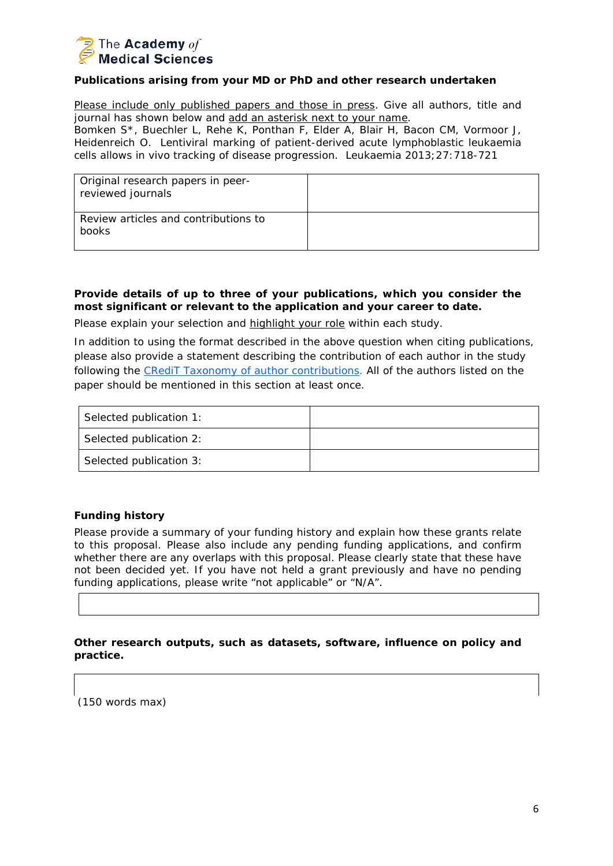

### **Publications arising from your MD or PhD and other research undertaken**

Please include only published papers and those in press. Give all authors, title and journal has shown below and add an asterisk next to your name.

Bomken S\*, Buechler L, Rehe K, Ponthan F, Elder A, Blair H, Bacon CM, Vormoor J, Heidenreich O. Lentiviral marking of patient-derived acute lymphoblastic leukaemia cells allows *in vivo* tracking of disease progression. Leukaemia 2013;27:718-721

| Original research papers in peer-<br>reviewed journals |  |
|--------------------------------------------------------|--|
| Review articles and contributions to<br>books          |  |

## **Provide details of up to three of your publications, which you consider the most significant or relevant to the application and your career to date.**

Please explain your selection and highlight your role within each study.

In addition to using the format described in the above question when citing publications, please also provide a statement describing the contribution of each author in the study following the [CRediT Taxonomy of author contributions.](http://www.acmedsci.ac.uk/snip/uploads/577e22090d2d4.pdf) All of the authors listed on the paper should be mentioned in this section at least once.

| Selected publication 1: |  |
|-------------------------|--|
| Selected publication 2: |  |
| Selected publication 3: |  |

## **Funding history**

Please provide a summary of your funding history and explain how these grants relate to this proposal. Please also include any pending funding applications, and confirm whether there are any overlaps with this proposal. Please clearly state that these have not been decided yet. If you have not held a grant previously and have no pending funding applications, please write "not applicable" or "N/A".

**Other research outputs, such as datasets, software, influence on policy and practice.**

(150 words max)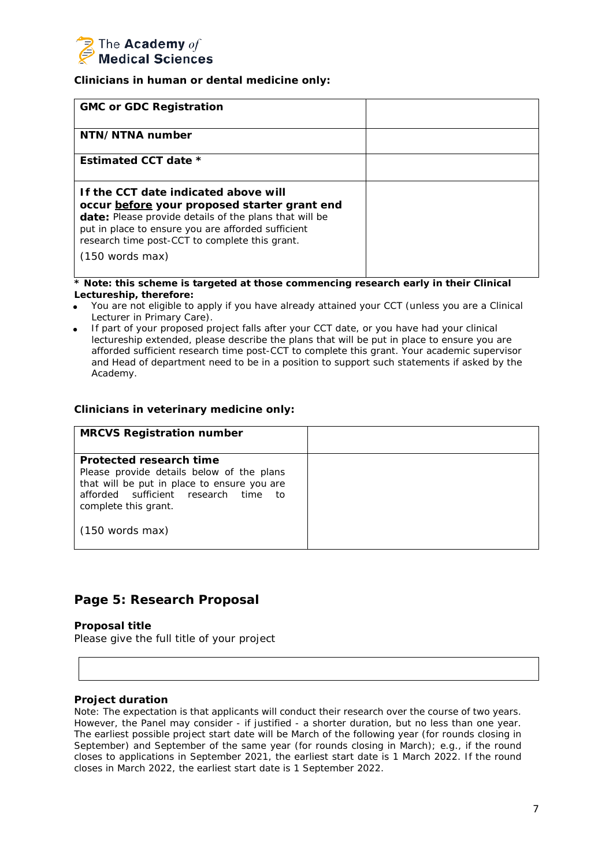

### *Clinicians in human or dental medicine only:*

| <b>GMC or GDC Registration</b>                                                                                                                                                                                                                                                              |  |
|---------------------------------------------------------------------------------------------------------------------------------------------------------------------------------------------------------------------------------------------------------------------------------------------|--|
| NTN/NTNA number                                                                                                                                                                                                                                                                             |  |
| Estimated CCT date *                                                                                                                                                                                                                                                                        |  |
| If the CCT date indicated above will<br>occur before your proposed starter grant end<br><b>date:</b> Please provide details of the plans that will be<br>put in place to ensure you are afforded sufficient<br>research time post-CCT to complete this grant.<br>$(150 \text{ words } max)$ |  |

*\* Note: this scheme is targeted at those commencing research early in their Clinical Lectureship, therefore:*

- You are not eligible to apply if you have already attained your CCT (unless you are a Clinical Lecturer in Primary Care).
- If part of your proposed project falls after your CCT date, or you have had your clinical lectureship extended, please describe the plans that will be put in place to ensure you are afforded sufficient research time post-CCT to complete this grant. Your academic supervisor and Head of department need to be in a position to support such statements if asked by the Academy.

### *Clinicians in veterinary medicine only:*

| <b>MRCVS Registration number</b>                                                                                                                            |  |
|-------------------------------------------------------------------------------------------------------------------------------------------------------------|--|
|                                                                                                                                                             |  |
| Protected research time                                                                                                                                     |  |
| Please provide details below of the plans<br>that will be put in place to ensure you are<br>afforded sufficient research time<br>to<br>complete this grant. |  |
| $(150$ words max)                                                                                                                                           |  |

## **Page 5: Research Proposal**

### **Proposal title**

Please give the full title of your project

### **Project duration**

*Note: The expectation is that applicants will conduct their research over the course of two years. However, the Panel may consider - if justified - a shorter duration, but no less than one year. The earliest possible project start date will be March of the following year (for rounds closing in September) and September of the same year (for rounds closing in March); e.g., if the round closes to applications in September 2021, the earliest start date is 1 March 2022. If the round closes in March 2022, the earliest start date is 1 September 2022.*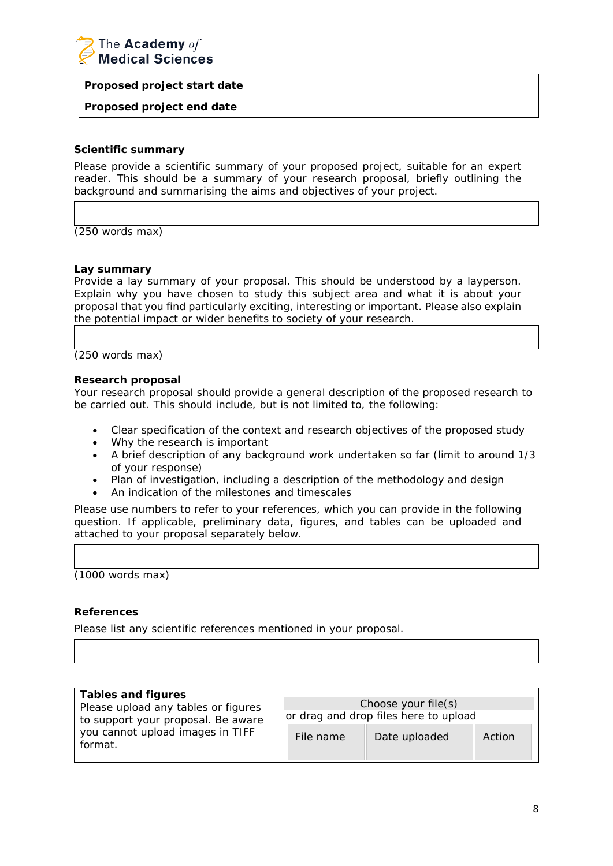

| Proposed project start date |  |
|-----------------------------|--|
| Proposed project end date   |  |

## **Scientific summary**

Please provide a scientific summary of your proposed project, suitable for an expert reader. This should be a summary of your research proposal, briefly outlining the background and summarising the aims and objectives of your project.

(250 words max)

#### **Lay summary**

Provide a lay summary of your proposal. This should be understood by a layperson. Explain why you have chosen to study this subject area and what it is about your proposal that you find particularly exciting, interesting or important. Please also explain the potential impact or wider benefits to society of your research.

(250 words max)

#### **Research proposal**

Your research proposal should provide a general description of the proposed research to be carried out. This should include, but is not limited to, the following:

- Clear specification of the context and research objectives of the proposed study
- Why the research is important
- A brief description of any background work undertaken so far (limit to around 1/3 of your response)
- Plan of investigation, including a description of the methodology and design
- An indication of the milestones and timescales

Please use numbers to refer to your references, which you can provide in the following question. If applicable, preliminary data, figures, and tables can be uploaded and attached to your proposal separately below.

(1000 words max)

### **References**

Please list any scientific references mentioned in your proposal.

| <b>Tables and figures</b>                                                                                                |                                       |               |        |
|--------------------------------------------------------------------------------------------------------------------------|---------------------------------------|---------------|--------|
| Please upload any tables or figures<br>to support your proposal. Be aware<br>you cannot upload images in TIFF<br>format. | Choose your file(s)                   |               |        |
|                                                                                                                          | or drag and drop files here to upload |               |        |
|                                                                                                                          | File name                             | Date uploaded | Action |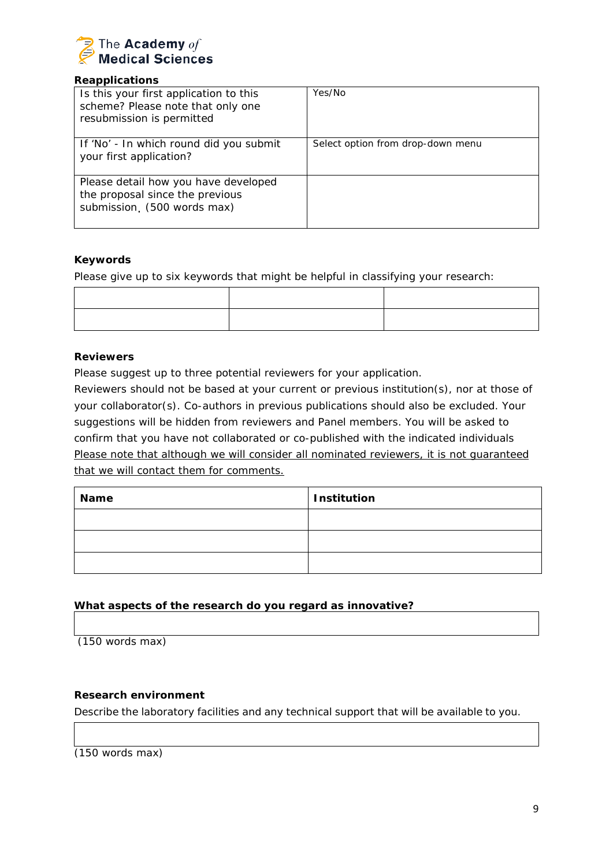

## **Reapplications**

| Is this your first application to this<br>scheme? Please note that only one<br>resubmission is permitted | Yes/No                            |
|----------------------------------------------------------------------------------------------------------|-----------------------------------|
| If 'No' - In which round did you submit<br>your first application?                                       | Select option from drop-down menu |
| Please detail how you have developed<br>the proposal since the previous<br>submission (500 words max)    |                                   |

## **Keywords**

Please give up to six keywords that might be helpful in classifying your research:

### **Reviewers**

Please suggest up to three potential reviewers for your application.

Reviewers should not be based at your current or previous institution(s), nor at those of your collaborator(s). Co-authors in previous publications should also be excluded. Your suggestions will be hidden from reviewers and Panel members. You will be asked to confirm that you have not collaborated or co-published with the indicated individuals Please note that although we will consider all nominated reviewers, it is not guaranteed that we will contact them for comments.

| <b>Name</b> | Institution |
|-------------|-------------|
|             |             |
|             |             |
|             |             |

## **What aspects of the research do you regard as innovative?**

(150 words max)

## **Research environment**

Describe the laboratory facilities and any technical support that will be available to you.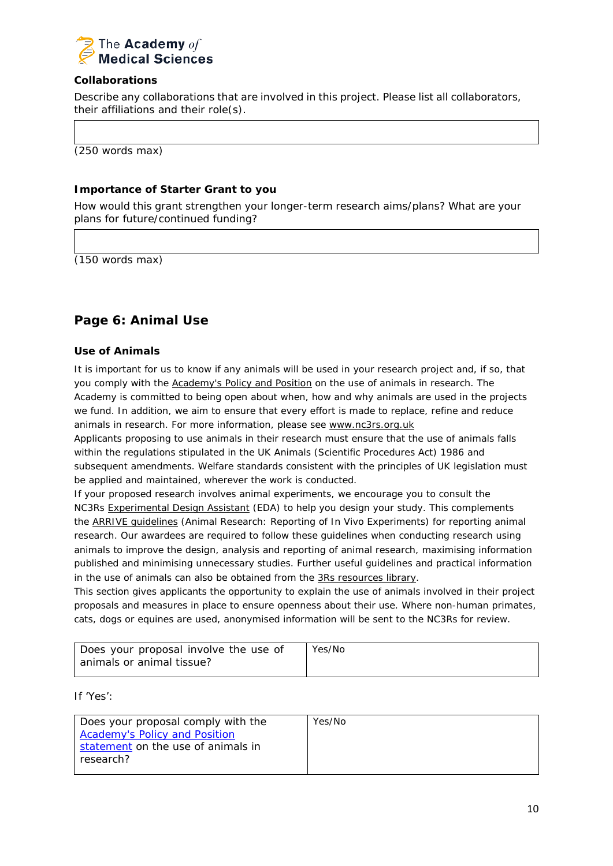

## **Collaborations**

Describe any collaborations that are involved in this project. Please list all collaborators, their affiliations and their role(s).

(250 words max)

## **Importance of Starter Grant to you**

How would this grant strengthen your longer-term research aims/plans? What are your plans for future/continued funding?

(150 words max)

## **Page 6: Animal Use**

## **Use of Animals**

It is important for us to know if any animals will be used in your research project and, if so, that you comply with the [Academy's](https://acmedsci.ac.uk/policy/major-policy-strands/using-animals-in-research/statement-on-the-use-of-animals-in-research) Policy and Position on the use of animals in research. The Academy is committed to being open about when, how and why animals are used in the projects we fund. In addition, we aim to ensure that every effort is made to replace, refine and reduce animals in research. For more information, please see [www.nc3rs.org.uk](http://www.nc3rs.org.uk/)

Applicants proposing to use animals in their research must ensure that the use of animals falls within the regulations stipulated in the UK Animals (Scientific Procedures Act) 1986 and subsequent amendments. Welfare standards consistent with the principles of UK legislation must be applied and maintained, wherever the work is conducted.

If your proposed research involves animal experiments, we encourage you to consult the NC3Rs [Experimental](https://eda.nc3rs.org.uk/) Design Assistant (EDA) to help you design your study. This complements the ARRIVE [guidelines](https://www.nc3rs.org.uk/arrive-guidelines) (Animal Research: Reporting of In Vivo Experiments) for reporting animal research. Our awardees are required to follow these guidelines when conducting research using animals to improve the design, analysis and reporting of animal research, maximising information published and minimising unnecessary studies. Further useful guidelines and practical information in the use of animals can also be obtained from the 3Rs [resources](https://www.nc3rs.org.uk/3rs-resources) library.

This section gives applicants the opportunity to explain the use of animals involved in their project proposals and measures in place to ensure openness about their use. Where non-human primates, cats, dogs or equines are used, anonymised information will be sent to the NC3Rs for review.

| Does your proposal involve the use of | Yes/No |
|---------------------------------------|--------|
| animals or animal tissue?             |        |

If 'Yes':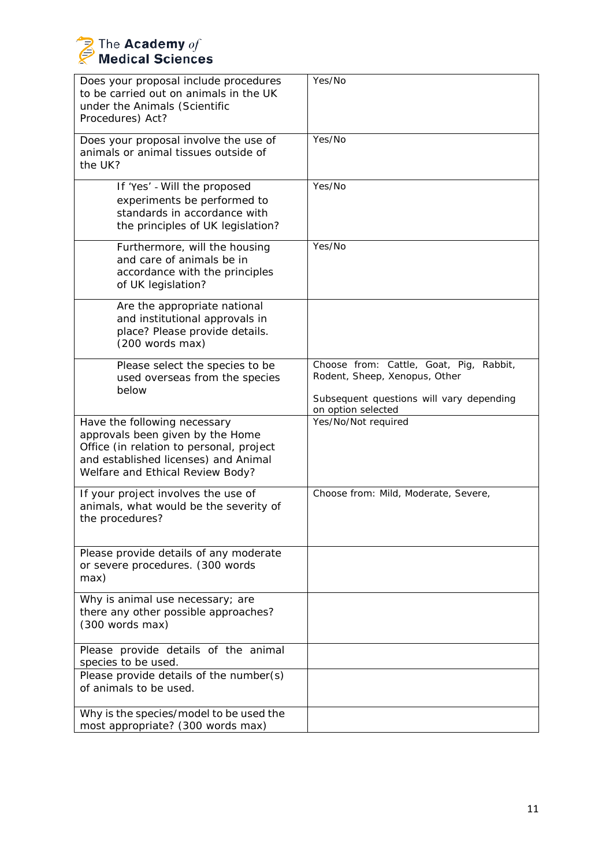| Does your proposal include procedures<br>to be carried out on animals in the UK<br>under the Animals (Scientific<br>Procedures) Act?                                                     | Yes/No                                                                                                                                        |
|------------------------------------------------------------------------------------------------------------------------------------------------------------------------------------------|-----------------------------------------------------------------------------------------------------------------------------------------------|
| Does your proposal involve the use of<br>animals or animal tissues outside of<br>the UK?                                                                                                 | Yes/No                                                                                                                                        |
| If 'Yes' - Will the proposed<br>experiments be performed to<br>standards in accordance with<br>the principles of UK legislation?                                                         | Yes/No                                                                                                                                        |
| Furthermore, will the housing<br>and care of animals be in<br>accordance with the principles<br>of UK legislation?                                                                       | Yes/No                                                                                                                                        |
| Are the appropriate national<br>and institutional approvals in<br>place? Please provide details.<br>(200 words max)                                                                      |                                                                                                                                               |
| Please select the species to be<br>used overseas from the species<br>below                                                                                                               | Choose from: Cattle, Goat, Pig,<br>Rabbit,<br>Rodent, Sheep, Xenopus, Other<br>Subsequent questions will vary depending<br>on option selected |
| Have the following necessary<br>approvals been given by the Home<br>Office (in relation to personal, project<br>and established licenses) and Animal<br>Welfare and Ethical Review Body? | Yes/No/Not required                                                                                                                           |
| If your project involves the use of<br>animals, what would be the severity of<br>the procedures?                                                                                         | Choose from: Mild, Moderate, Severe,                                                                                                          |
| Please provide details of any moderate<br>or severe procedures. (300 words<br>max)                                                                                                       |                                                                                                                                               |
| Why is animal use necessary; are<br>there any other possible approaches?<br>(300 words max)                                                                                              |                                                                                                                                               |
| Please provide details of the animal<br>species to be used.                                                                                                                              |                                                                                                                                               |
| Please provide details of the number(s)<br>of animals to be used.                                                                                                                        |                                                                                                                                               |
| Why is the species/model to be used the<br>most appropriate? (300 words max)                                                                                                             |                                                                                                                                               |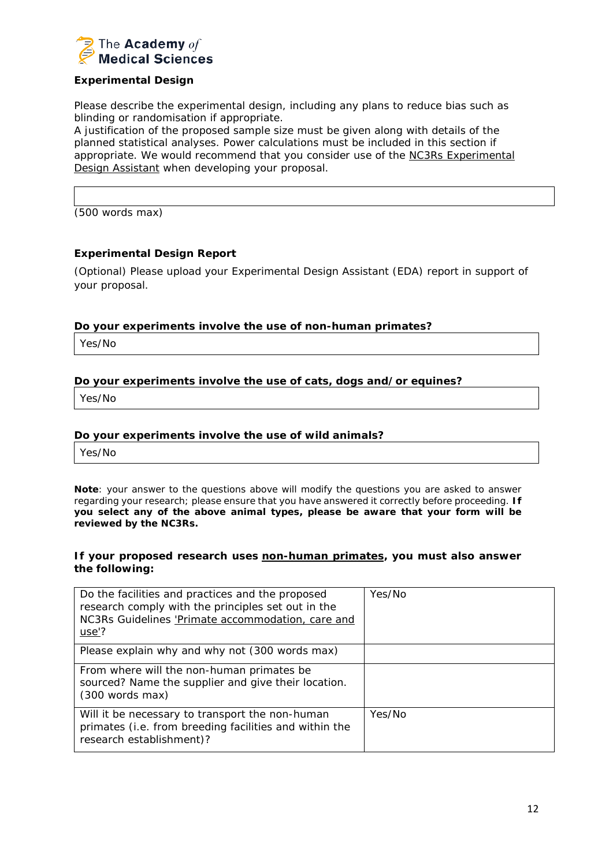

## **Experimental Design**

Please describe the experimental design, including any plans to reduce bias such as blinding or randomisation if appropriate.

A justification of the proposed sample size must be given along with details of the planned statistical analyses. Power calculations must be included in this section if appropriate. We would recommend that you consider use of the NC3Rs [Experimental](https://www.nc3rs.org.uk/experimental-design-assistant-eda) Design [Assistant](https://www.nc3rs.org.uk/experimental-design-assistant-eda) when developing your proposal.

(500 words max)

### **Experimental Design Report**

(Optional) Please upload your Experimental Design Assistant (EDA) report in support of your proposal.

#### **Do your experiments involve the use of non-human primates?**

Yes/No

#### **Do your experiments involve the use of cats, dogs and/or equines?**

Yes/No

#### **Do your experiments involve the use of wild animals?**

Yes/No

*Note: your answer to the questions above will modify the questions you are asked to answer regarding your research; please ensure that you have answered it correctly before proceeding. If you select any of the above animal types, please be aware that your form will be reviewed by the NC3Rs.*

#### **If your proposed research uses non-human primates, you must also answer the following:**

| Do the facilities and practices and the proposed<br>research comply with the principles set out in the<br>NC3Rs Guidelines 'Primate accommodation, care and<br>use'? | Yes/No |
|----------------------------------------------------------------------------------------------------------------------------------------------------------------------|--------|
| Please explain why and why not (300 words max)                                                                                                                       |        |
| From where will the non-human primates be<br>sourced? Name the supplier and give their location.<br>$(300 \text{ words } max)$                                       |        |
| Will it be necessary to transport the non-human<br>primates (i.e. from breeding facilities and within the<br>research establishment)?                                | Yes/No |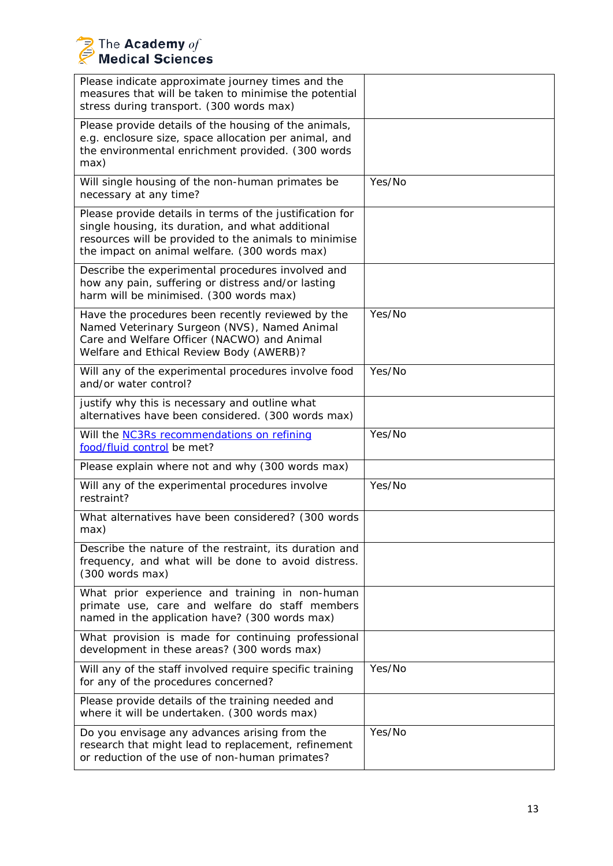| Please indicate approximate journey times and the<br>measures that will be taken to minimise the potential<br>stress during transport. (300 words max)                                                                  |        |
|-------------------------------------------------------------------------------------------------------------------------------------------------------------------------------------------------------------------------|--------|
| Please provide details of the housing of the animals,<br>e.g. enclosure size, space allocation per animal, and<br>the environmental enrichment provided. (300 words<br>max)                                             |        |
| Will single housing of the non-human primates be<br>necessary at any time?                                                                                                                                              | Yes/No |
| Please provide details in terms of the justification for<br>single housing, its duration, and what additional<br>resources will be provided to the animals to minimise<br>the impact on animal welfare. (300 words max) |        |
| Describe the experimental procedures involved and<br>how any pain, suffering or distress and/or lasting<br>harm will be minimised. (300 words max)                                                                      |        |
| Have the procedures been recently reviewed by the<br>Named Veterinary Surgeon (NVS), Named Animal<br>Care and Welfare Officer (NACWO) and Animal<br>Welfare and Ethical Review Body (AWERB)?                            | Yes/No |
| Will any of the experimental procedures involve food<br>and/or water control?                                                                                                                                           | Yes/No |
| justify why this is necessary and outline what<br>alternatives have been considered. (300 words max)                                                                                                                    |        |
| Will the <b>NC3Rs</b> recommendations on refining<br>food/fluid control be met?                                                                                                                                         | Yes/No |
| Please explain where not and why (300 words max)                                                                                                                                                                        |        |
| Will any of the experimental procedures involve<br>restraint?                                                                                                                                                           | Yes/No |
| What alternatives have been considered? (300 words<br>max)                                                                                                                                                              |        |
| Describe the nature of the restraint, its duration and<br>frequency, and what will be done to avoid distress.<br>(300 words max)                                                                                        |        |
| What prior experience and training in non-human<br>primate use, care and welfare do staff members<br>named in the application have? (300 words max)                                                                     |        |
| What provision is made for continuing professional<br>development in these areas? (300 words max)                                                                                                                       |        |
| Will any of the staff involved require specific training<br>for any of the procedures concerned?                                                                                                                        | Yes/No |
| Please provide details of the training needed and<br>where it will be undertaken. (300 words max)                                                                                                                       |        |
| Do you envisage any advances arising from the<br>research that might lead to replacement, refinement<br>or reduction of the use of non-human primates?                                                                  | Yes/No |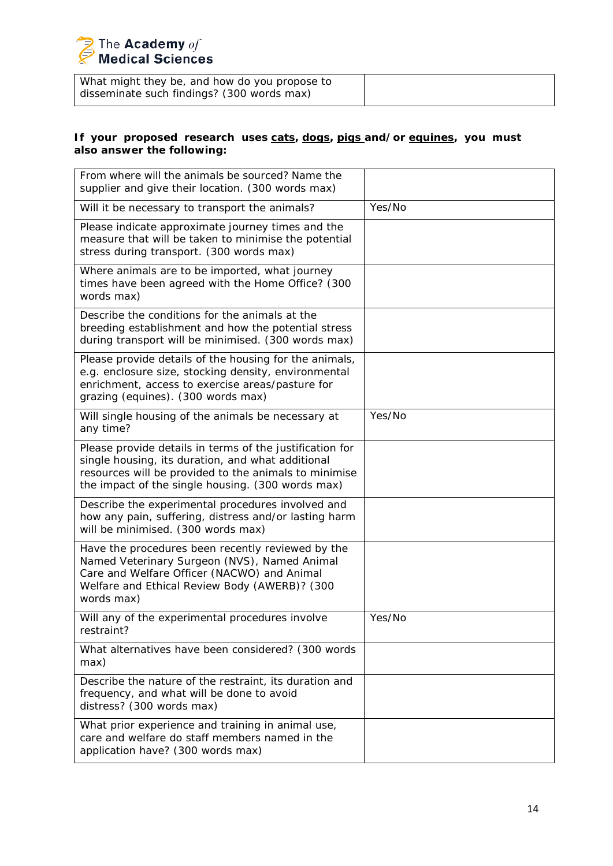What might they be, and how do you propose to disseminate such findings? (300 words max)

## **If your proposed research uses cats, dogs, pigs and/or equines, you must also answer the following:**

| From where will the animals be sourced? Name the<br>supplier and give their location. (300 words max)                                                                                                                       |        |
|-----------------------------------------------------------------------------------------------------------------------------------------------------------------------------------------------------------------------------|--------|
| Will it be necessary to transport the animals?                                                                                                                                                                              | Yes/No |
| Please indicate approximate journey times and the<br>measure that will be taken to minimise the potential<br>stress during transport. (300 words max)                                                                       |        |
| Where animals are to be imported, what journey<br>times have been agreed with the Home Office? (300<br>words max)                                                                                                           |        |
| Describe the conditions for the animals at the<br>breeding establishment and how the potential stress<br>during transport will be minimised. (300 words max)                                                                |        |
| Please provide details of the housing for the animals,<br>e.g. enclosure size, stocking density, environmental<br>enrichment, access to exercise areas/pasture for<br>grazing (equines). (300 words max)                    |        |
| Will single housing of the animals be necessary at<br>any time?                                                                                                                                                             | Yes/No |
| Please provide details in terms of the justification for<br>single housing, its duration, and what additional<br>resources will be provided to the animals to minimise<br>the impact of the single housing. (300 words max) |        |
| Describe the experimental procedures involved and<br>how any pain, suffering, distress and/or lasting harm<br>will be minimised. (300 words max)                                                                            |        |
| Have the procedures been recently reviewed by the<br>Named Veterinary Surgeon (NVS), Named Animal<br>Care and Welfare Officer (NACWO) and Animal<br>Welfare and Ethical Review Body (AWERB)? (300<br>words max)             |        |
| Will any of the experimental procedures involve<br>restraint?                                                                                                                                                               | Yes/No |
| What alternatives have been considered? (300 words<br>max)                                                                                                                                                                  |        |
| Describe the nature of the restraint, its duration and<br>frequency, and what will be done to avoid<br>distress? (300 words max)                                                                                            |        |
| What prior experience and training in animal use,<br>care and welfare do staff members named in the<br>application have? (300 words max)                                                                                    |        |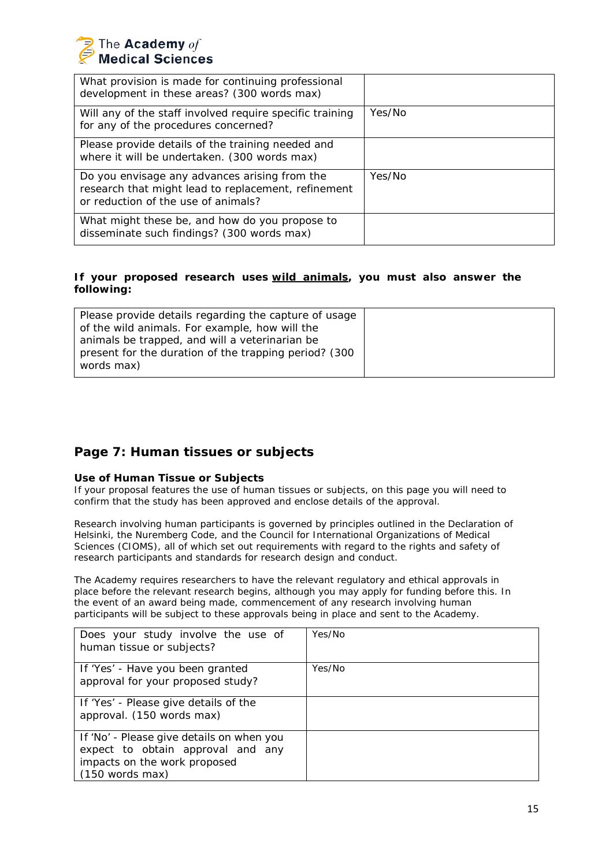

| What provision is made for continuing professional<br>development in these areas? (300 words max)                                           |        |
|---------------------------------------------------------------------------------------------------------------------------------------------|--------|
| Will any of the staff involved require specific training<br>for any of the procedures concerned?                                            | Yes/No |
| Please provide details of the training needed and<br>where it will be undertaken. (300 words max)                                           |        |
| Do you envisage any advances arising from the<br>research that might lead to replacement, refinement<br>or reduction of the use of animals? | Yes/No |
| What might these be, and how do you propose to<br>disseminate such findings? (300 words max)                                                |        |

### **If your proposed research uses wild animals, you must also answer the following:**

| Please provide details regarding the capture of usage  |  |
|--------------------------------------------------------|--|
| of the wild animals. For example, how will the         |  |
| animals be trapped, and will a veterinarian be         |  |
| present for the duration of the trapping period? (300) |  |
| words max)                                             |  |
|                                                        |  |

## **Page 7: Human tissues or subjects**

#### **Use of Human Tissue or Subjects**

If your proposal features the use of human tissues or subjects, on this page you will need to confirm that the study has been approved and enclose details of the approval.

Research involving human participants is governed by principles outlined in the Declaration of Helsinki, the Nuremberg Code, and the Council for International Organizations of Medical Sciences (CIOMS), all of which set out requirements with regard to the rights and safety of research participants and standards for research design and conduct.

The Academy requires researchers to have the relevant regulatory and ethical approvals in place before the relevant research begins, although you may apply for funding before this. In the event of an award being made, commencement of any research involving human participants will be subject to these approvals being in place and sent to the Academy.

| Does your study involve the use of<br>human tissue or subjects?                                                                     | Yes/No |
|-------------------------------------------------------------------------------------------------------------------------------------|--------|
| If 'Yes' - Have you been granted<br>approval for your proposed study?                                                               | Yes/No |
| If 'Yes' - Please give details of the<br>approval. (150 words max)                                                                  |        |
| If 'No' - Please give details on when you<br>expect to obtain approval and any<br>impacts on the work proposed<br>$(150$ words max) |        |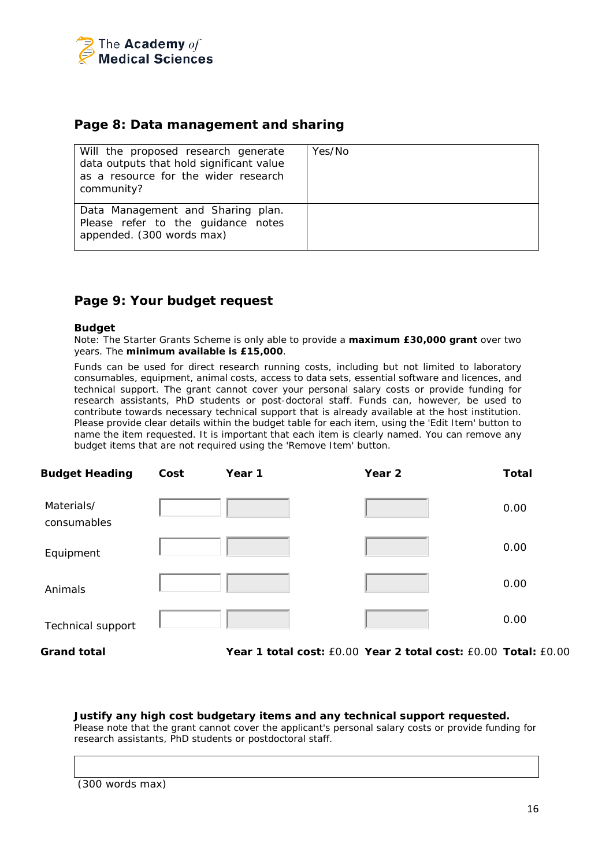

## **Page 8: Data management and sharing**

| Will the proposed research generate<br>data outputs that hold significant value<br>as a resource for the wider research<br>community? | Yes/No |
|---------------------------------------------------------------------------------------------------------------------------------------|--------|
| Data Management and Sharing plan.<br>Please refer to the guidance notes<br>appended. (300 words max)                                  |        |

## **Page 9: Your budget request**

#### **Budget**

Note: The Starter Grants Scheme is only able to provide a *maximum £30,000 grant* over two years. The *minimum available is £15,000*.

Funds can be used for direct research running costs, including but not limited to laboratory consumables, equipment, animal costs, access to data sets, essential software and licences, and technical support. The grant cannot cover your personal salary costs or provide funding for research assistants, PhD students or post-doctoral staff. Funds can, however, be used to contribute towards necessary technical support that is already available at the host institution. Please provide clear details within the budget table for each item, using the 'Edit Item' button to name the item requested. It is important that each item is clearly named. You can remove any budget items that are not required using the 'Remove Item' button.

| <b>Budget Heading</b>     | Cost | Year 1 | Year <sub>2</sub>                                              | <b>Total</b> |
|---------------------------|------|--------|----------------------------------------------------------------|--------------|
| Materials/<br>consumables |      |        |                                                                | 0.00         |
| Equipment                 |      |        |                                                                | 0.00         |
| Animals                   |      |        |                                                                | 0.00         |
| <b>Technical support</b>  |      |        |                                                                | 0.00         |
| <b>Grand total</b>        |      |        | Year 1 total cost: £0.00 Year 2 total cost: £0.00 Total: £0.00 |              |

**Justify any high cost budgetary items and any technical support requested.** *Please note that the grant cannot cover the applicant's personal salary costs or provide funding for research assistants, PhD students or postdoctoral staff.*

(300 words max)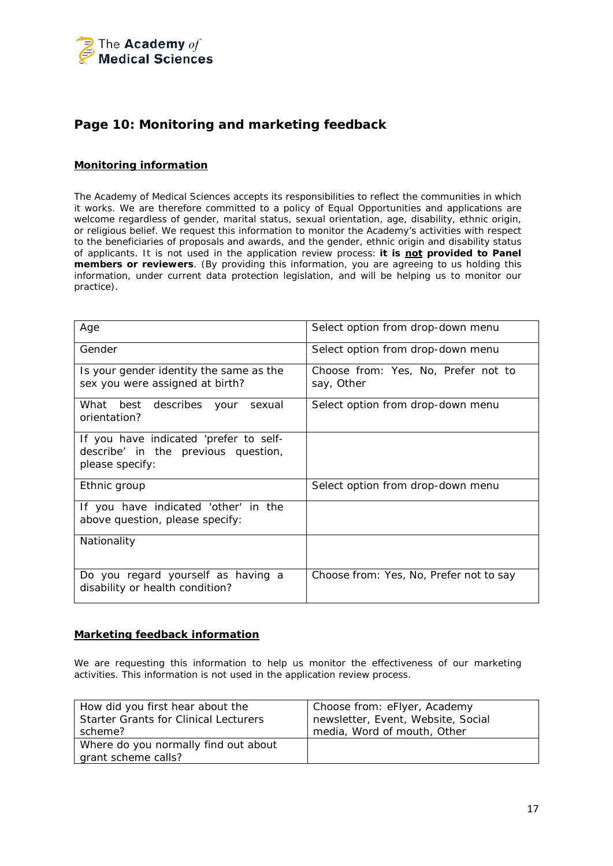

## **Page 10: Monitoring and marketing feedback**

### **Monitoring information**

The Academy of Medical Sciences accepts its responsibilities to reflect the communities in which it works. We are therefore committed to a policy of Equal Opportunities and applications are welcome regardless of gender, marital status, sexual orientation, age, disability, ethnic origin, or religious belief. We request this information to monitor the Academy's activities with respect to the beneficiaries of proposals and awards, and the gender, ethnic origin and disability status of applicants. It is not used in the application review process: **it is not provided to Panel members or reviewers**. (By providing this information, you are agreeing to us holding this information, under current data protection legislation, and will be helping us to monitor our practice).

| Age                                                                                              | Select option from drop-down menu                 |
|--------------------------------------------------------------------------------------------------|---------------------------------------------------|
| Gender                                                                                           | Select option from drop-down menu                 |
| Is your gender identity the same as the<br>sex you were assigned at birth?                       | Choose from: Yes, No, Prefer not to<br>say, Other |
| What best describes your<br>sexual<br>orientation?                                               | Select option from drop-down menu                 |
| If you have indicated 'prefer to self-<br>describe' in the previous question,<br>please specify: |                                                   |
| Ethnic group                                                                                     | Select option from drop-down menu                 |
| If you have indicated 'other' in the<br>above question, please specify:                          |                                                   |
| Nationality                                                                                      |                                                   |
| Do you regard yourself as having a<br>disability or health condition?                            | Choose from: Yes, No, Prefer not to say           |

### **Marketing feedback information**

We are requesting this information to help us monitor the effectiveness of our marketing activities. This information is not used in the application review process.

| How did you first hear about the                            | Choose from: eFlyer, Academy       |
|-------------------------------------------------------------|------------------------------------|
| <b>Starter Grants for Clinical Lecturers</b>                | newsletter, Event, Website, Social |
| scheme?                                                     | media, Word of mouth, Other        |
| Where do you normally find out about<br>grant scheme calls? |                                    |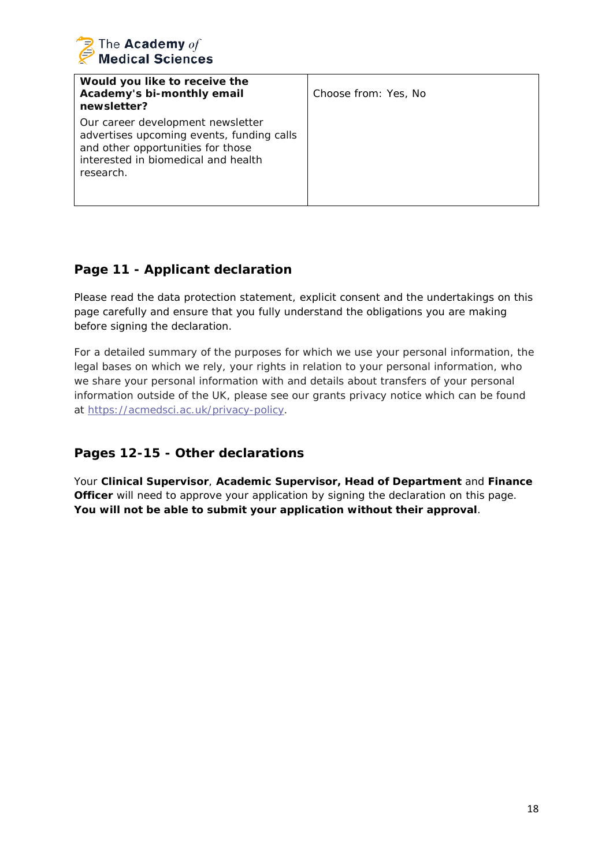

| Would you like to receive the<br>Academy's bi-monthly email<br>newsletter?                                                                                              | Choose from: Yes, No |
|-------------------------------------------------------------------------------------------------------------------------------------------------------------------------|----------------------|
| Our career development newsletter<br>advertises upcoming events, funding calls<br>and other opportunities for those<br>interested in biomedical and health<br>research. |                      |

# **Page 11 - Applicant declaration**

Please read the data protection statement, explicit consent and the undertakings on this page carefully and ensure that you fully understand the obligations you are making before signing the declaration.

For a detailed summary of the purposes for which we use your personal information, the legal bases on which we rely, your rights in relation to your personal information, who we share your personal information with and details about transfers of your personal information outside of the UK, please see our grants privacy notice which can be found at [https://acmedsci.ac.uk/privacy-policy.](https://protect-eu.mimecast.com/s/YnWNCWn2gIZAxRGTr931E?domain=acmedsci.ac.uk)

# **Pages 12-15 - Other declarations**

Your **Clinical Supervisor**, **Academic Supervisor, Head of Department** and **Finance Officer** will need to approve your application by signing the declaration on this page. **You will not be able to submit your application without their approval**.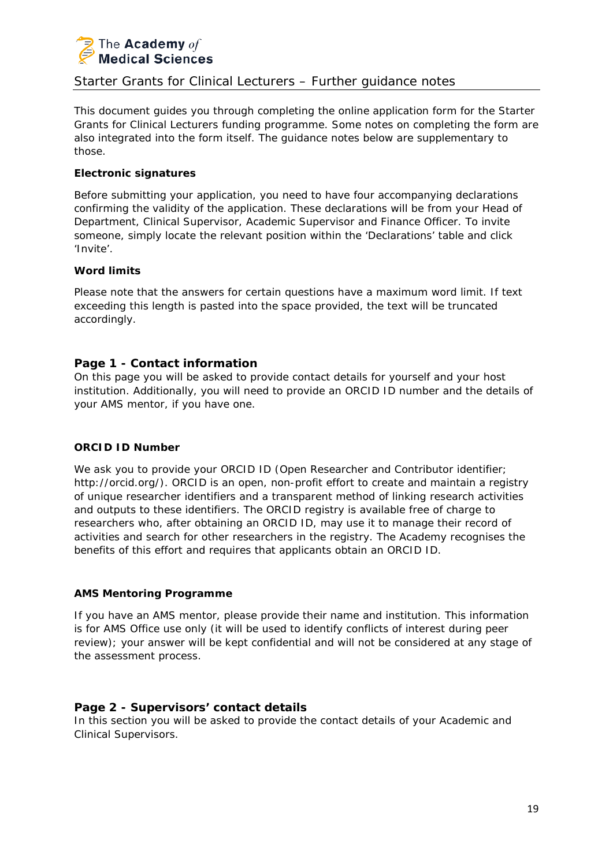

## Starter Grants for Clinical Lecturers – Further guidance notes

This document guides you through completing the online application form for the Starter Grants for Clinical Lecturers funding programme. Some notes on completing the form are also integrated into the form itself. The guidance notes below are supplementary to those.

## **Electronic signatures**

Before submitting your application, you need to have four accompanying declarations confirming the validity of the application. These declarations will be from your Head of Department, Clinical Supervisor, Academic Supervisor and Finance Officer. To invite someone, simply locate the relevant position within the 'Declarations' table and click 'Invite'.

## **Word limits**

Please note that the answers for certain questions have a maximum word limit. If text exceeding this length is pasted into the space provided, the text will be truncated accordingly.

## **Page 1 - Contact information**

On this page you will be asked to provide contact details for yourself and your host institution. Additionally, you will need to provide an ORCID ID number and the details of your AMS mentor, if you have one.

### **ORCID ID Number**

We ask you to provide your ORCID ID (Open Researcher and Contributor identifier; http://orcid.org/). ORCID is an open, non-profit effort to create and maintain a registry of unique researcher identifiers and a transparent method of linking research activities and outputs to these identifiers. The ORCID registry is available free of charge to researchers who, after obtaining an ORCID ID, may use it to manage their record of activities and search for other researchers in the registry. The Academy recognises the benefits of this effort and requires that applicants obtain an ORCID ID.

### **AMS Mentoring Programme**

If you have an AMS mentor, please provide their name and institution. This information is for AMS Office use only (it will be used to identify conflicts of interest during peer review); your answer will be kept confidential and will not be considered at any stage of the assessment process.

## **Page 2 - Supervisors' contact details**

In this section you will be asked to provide the contact details of your Academic and Clinical Supervisors.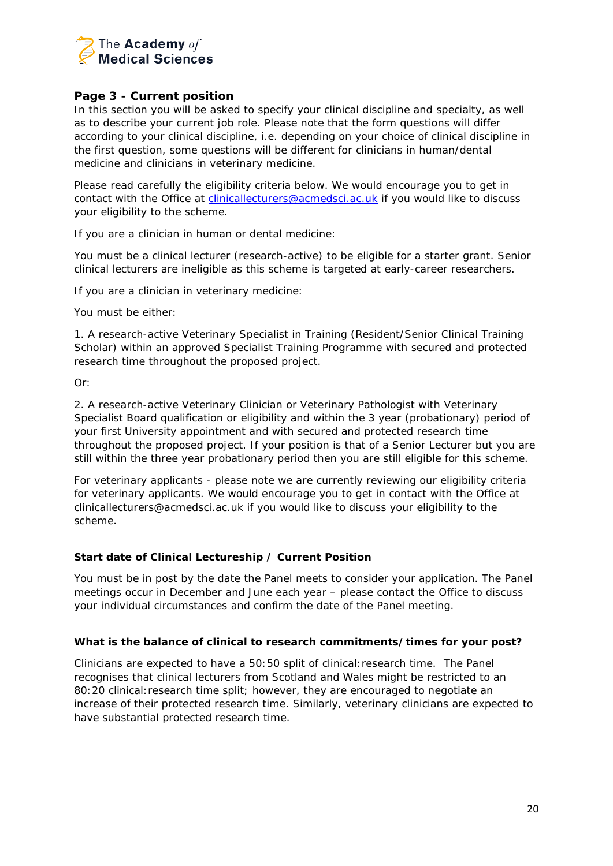

## **Page 3 - Current position**

In this section you will be asked to specify your clinical discipline and specialty, as well as to describe your current job role. Please note that the form questions will differ according to your clinical discipline, i.e. depending on your choice of clinical discipline in the first question, some questions will be different for clinicians in human/dental medicine and clinicians in veterinary medicine.

Please read carefully the eligibility criteria below. We would encourage you to get in contact with the Office at [clinicallecturers@acmedsci.ac.uk](mailto:clinicallecturers@acmedsci.ac.uk) if you would like to discuss your eligibility to the scheme.

## *If you are a clinician in human or dental medicine:*

You must be a clinical lecturer (research-active) to be eligible for a starter grant. Senior clinical lecturers are ineligible as this scheme is targeted at early-career researchers.

*If you are a clinician in veterinary medicine:* 

You must be either:

1. A research-active Veterinary Specialist in Training (Resident/Senior Clinical Training Scholar) within an approved Specialist Training Programme with secured and protected research time throughout the proposed project.

Or:

2. A research-active Veterinary Clinician or Veterinary Pathologist with Veterinary Specialist Board qualification or eligibility and within the 3 year (probationary) period of your first University appointment and with secured and protected research time throughout the proposed project. If your position is that of a Senior Lecturer but you are still within the three year probationary period then you are still eligible for this scheme.

For veterinary applicants - please note we are currently reviewing our eligibility criteria for veterinary applicants. We would encourage you to get in contact with the Office at clinicallecturers@acmedsci.ac.uk if you would like to discuss your eligibility to the scheme.

## **Start date of Clinical Lectureship / Current Position**

You must be in post by the date the Panel meets to consider your application. The Panel meetings occur in December and June each year – please contact the Office to discuss your individual circumstances and confirm the date of the Panel meeting.

### **What is the balance of clinical to research commitments/times for your post?**

Clinicians are expected to have a 50:50 split of clinical:research time. The Panel recognises that clinical lecturers from Scotland and Wales might be restricted to an 80:20 clinical:research time split; however, they are encouraged to negotiate an increase of their protected research time. Similarly, veterinary clinicians are expected to have substantial protected research time.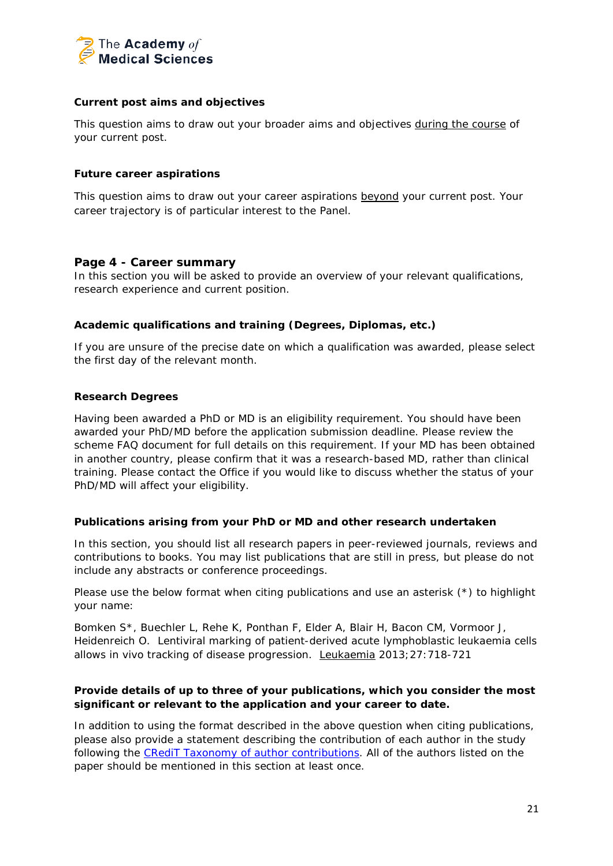

## **Current post aims and objectives**

This question aims to draw out your broader aims and objectives during the course of your current post.

### **Future career aspirations**

This question aims to draw out your career aspirations beyond your current post. Your career trajectory is of particular interest to the Panel.

## **Page 4 - Career summary**

In this section you will be asked to provide an overview of your relevant qualifications, research experience and current position.

## **Academic qualifications and training (Degrees, Diplomas, etc.)**

If you are unsure of the precise date on which a qualification was awarded, please select the first day of the relevant month.

### **Research Degrees**

Having been awarded a PhD or MD is an eligibility requirement. You should have been awarded your PhD/MD before the application submission deadline. Please review the scheme FAQ document for full details on this requirement. If your MD has been obtained in another country, please confirm that it was a research-based MD, rather than clinical training. Please contact the Office if you would like to discuss whether the status of your PhD/MD will affect your eligibility.

### **Publications arising from your PhD or MD and other research undertaken**

In this section, you should list all research papers in peer-reviewed journals, reviews and contributions to books. You may list publications that are still in press, but please do not include any abstracts or conference proceedings.

Please use the below format when citing publications and use an asterisk (\*) to highlight your name:

Bomken S\*, Buechler L, Rehe K, Ponthan F, Elder A, Blair H, Bacon CM, Vormoor J, Heidenreich O. Lentiviral marking of patient-derived acute lymphoblastic leukaemia cells allows *in vivo* tracking of disease progression. Leukaemia 2013;27:718-721

## **Provide details of up to three of your publications, which you consider the most significant or relevant to the application and your career to date.**

In addition to using the format described in the above question when citing publications, please also provide a statement describing the contribution of each author in the study following the [CRediT Taxonomy of author contributions.](http://www.acmedsci.ac.uk/snip/uploads/577e22090d2d4.pdf) All of the authors listed on the paper should be mentioned in this section at least once.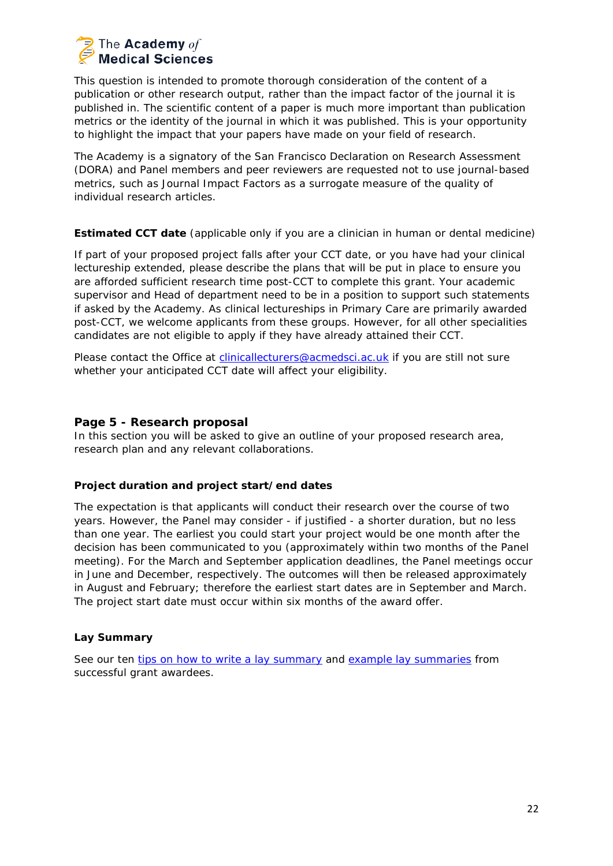

This question is intended to promote thorough consideration of the content of a publication or other research output, rather than the impact factor of the journal it is published in. The scientific content of a paper is much more important than publication metrics or the identity of the journal in which it was published. This is your opportunity to highlight the impact that your papers have made on your field of research.

The Academy is a signatory of the San Francisco Declaration on Research Assessment (DORA) and Panel members and peer reviewers are requested not to use journal-based metrics, such as Journal Impact Factors as a surrogate measure of the quality of individual research articles.

### **Estimated CCT date** *(applicable only if you are a clinician in human or dental medicine)*

If part of your proposed project falls after your CCT date, or you have had your clinical lectureship extended, please describe the plans that will be put in place to ensure you are afforded sufficient research time post-CCT to complete this grant. Your academic supervisor and Head of department need to be in a position to support such statements if asked by the Academy. As clinical lectureships in Primary Care are primarily awarded post-CCT, we welcome applicants from these groups. However, for all other specialities candidates are not eligible to apply if they have already attained their CCT.

Please contact the Office at [clinicallecturers@acmedsci.ac.uk](mailto:clinicallecturers@acmedsci.ac.uk) if you are still not sure whether your anticipated CCT date will affect your eligibility.

## **Page 5 - Research proposal**

In this section you will be asked to give an outline of your proposed research area, research plan and any relevant collaborations.

## **Project duration and project start/end dates**

The expectation is that applicants will conduct their research over the course of two years. However, the Panel may consider - if justified - a shorter duration, but no less than one year. The earliest you could start your project would be one month after the decision has been communicated to you (approximately within two months of the Panel meeting). For the March and September application deadlines, the Panel meetings occur in June and December, respectively. The outcomes will then be released approximately in August and February; therefore the earliest start dates are in September and March. The project start date must occur within six months of the award offer.

## **Lay Summary**

See our ten [tips on how to write a lay summary](https://acmedsci.ac.uk/more/news/10-tips-for-writing-a-lay-summary) and [example lay summaries](https://acmedsci.ac.uk/more/news/what-does-a-great-lay-summary-look-like) from successful grant awardees.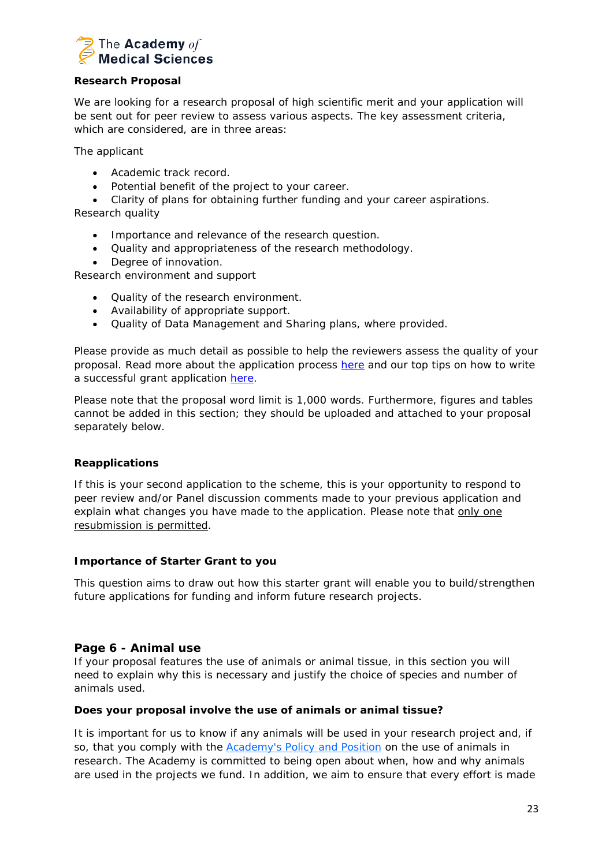

## **Research Proposal**

We are looking for a research proposal of high scientific merit and your application will be sent out for peer review to assess various aspects. The key assessment criteria, which are considered, are in three areas:

The applicant

- Academic track record.
- Potential benefit of the project to your career.
- Clarity of plans for obtaining further funding and your career aspirations.

Research quality

- Importance and relevance of the research question.
- Quality and appropriateness of the research methodology.
- Degree of innovation.

Research environment and support

- Quality of the research environment.
- Availability of appropriate support.
- Quality of Data Management and Sharing plans, where provided.

Please provide as much detail as possible to help the reviewers assess the quality of your proposal. Read more about the application process [here](http://www.acmedsci.ac.uk/grants-and-schemes/grant-schemes/information-for-applicants/start-your-application/) and our top tips on how to write a successful grant application [here.](https://acmedsci.ac.uk/more/news/ten-tips-for-grant-applications)

Please note that the proposal word limit is 1,000 words. Furthermore, figures and tables cannot be added in this section; they should be uploaded and attached to your proposal separately below.

## **Reapplications**

If this is your second application to the scheme, this is your opportunity to respond to peer review and/or Panel discussion comments made to your previous application and explain what changes you have made to the application. Please note that only one resubmission is permitted.

### **Importance of Starter Grant to you**

This question aims to draw out how this starter grant will enable you to build/strengthen future applications for funding and inform future research projects.

### **Page 6 - Animal use**

If your proposal features the use of animals or animal tissue, in this section you will need to explain why this is necessary and justify the choice of species and number of animals used.

### **Does your proposal involve the use of animals or animal tissue?**

It is important for us to know if any animals will be used in your research project and, if so, that you comply with the [Academy's](https://acmedsci.ac.uk/policy/major-policy-strands/using-animals-in-research/statement-on-the-use-of-animals-in-research) Policy and Position on the use of animals in research. The Academy is committed to being open about when, how and why animals are used in the projects we fund. In addition, we aim to ensure that every effort is made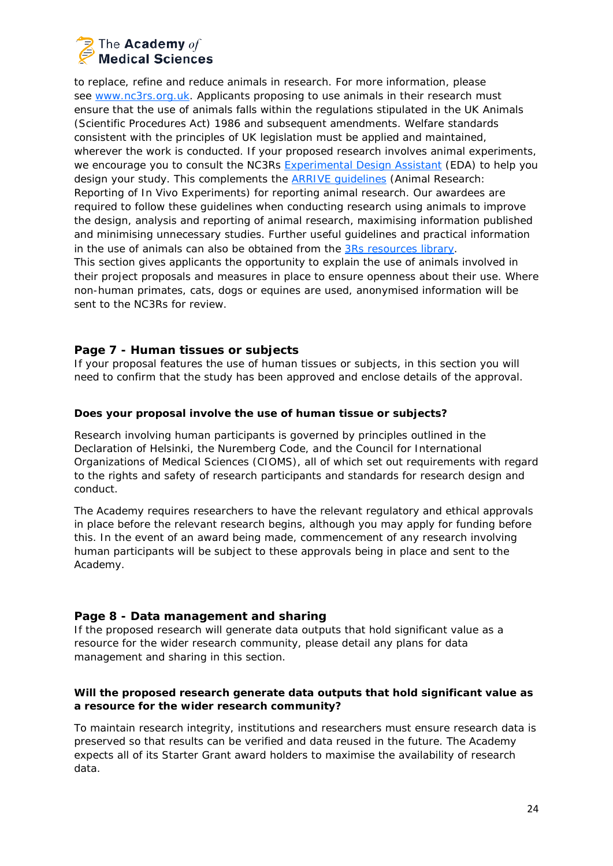# The Academy of **Medical Sciences**

to replace, refine and reduce animals in research. For more information, please see [www.nc3rs.org.uk.](http://www.nc3rs.org.uk/) Applicants proposing to use animals in their research must ensure that the use of animals falls within the regulations stipulated in the UK Animals (Scientific Procedures Act) 1986 and subsequent amendments. Welfare standards consistent with the principles of UK legislation must be applied and maintained, wherever the work is conducted. If your proposed research involves animal experiments, we encourage you to consult the NC3Rs [Experimental](https://eda.nc3rs.org.uk/) Design Assistant (EDA) to help you design your study. This complements the **ARRIVE quidelines** (Animal Research: Reporting of In Vivo Experiments) for reporting animal research. Our awardees are required to follow these guidelines when conducting research using animals to improve the design, analysis and reporting of animal research, maximising information published and minimising unnecessary studies. Further useful guidelines and practical information in the use of animals can also be obtained from the 3Rs [resources](https://www.nc3rs.org.uk/3rs-resources) library. This section gives applicants the opportunity to explain the use of animals involved in their project proposals and measures in place to ensure openness about their use. Where non-human primates, cats, dogs or equines are used, anonymised information will be sent to the NC3Rs for review.

## **Page 7 - Human tissues or subjects**

If your proposal features the use of human tissues or subjects, in this section you will need to confirm that the study has been approved and enclose details of the approval.

## **Does your proposal involve the use of human tissue or subjects?**

Research involving human participants is governed by principles outlined in the Declaration of Helsinki, the Nuremberg Code, and the Council for International Organizations of Medical Sciences (CIOMS), all of which set out requirements with regard to the rights and safety of research participants and standards for research design and conduct.

The Academy requires researchers to have the relevant regulatory and ethical approvals in place before the relevant research begins, although you may apply for funding before this. In the event of an award being made, commencement of any research involving human participants will be subject to these approvals being in place and sent to the Academy.

## **Page 8 - Data management and sharing**

If the proposed research will generate data outputs that hold significant value as a resource for the wider research community, please detail any plans for data management and sharing in this section.

## **Will the proposed research generate data outputs that hold significant value as a resource for the wider research community?**

To maintain research integrity, institutions and researchers must ensure research data is preserved so that results can be verified and data reused in the future. The Academy expects all of its Starter Grant award holders to maximise the availability of research data.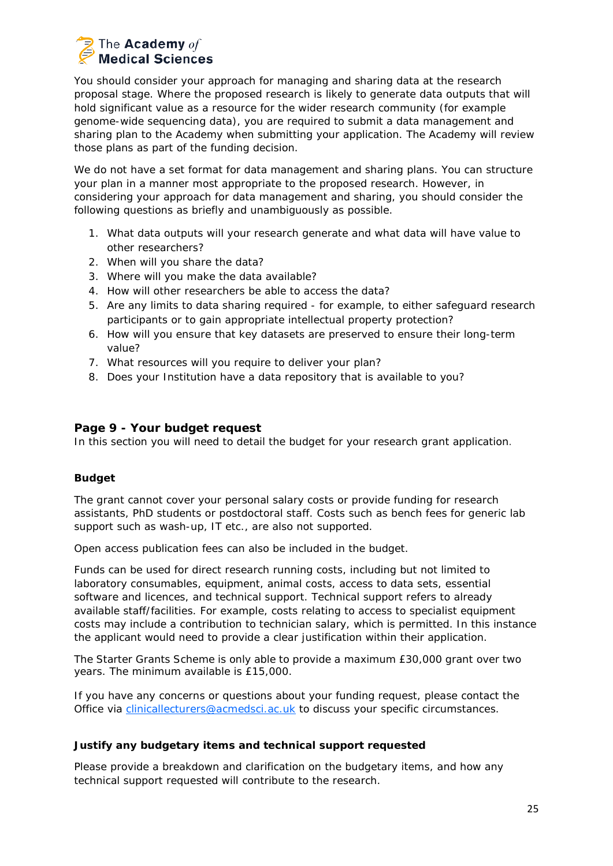# The Academy of **Medical Sciences**

You should consider your approach for managing and sharing data at the research proposal stage. Where the proposed research is likely to generate data outputs that will hold significant value as a resource for the wider research community (for example genome-wide sequencing data), you are required to submit a data management and sharing plan to the Academy when submitting your application. The Academy will review those plans as part of the funding decision.

We do not have a set format for data management and sharing plans. You can structure your plan in a manner most appropriate to the proposed research. However, in considering your approach for data management and sharing, you should consider the following questions as briefly and unambiguously as possible.

- 1. What data outputs will your research generate and what data will have value to other researchers?
- 2. When will you share the data?
- 3. Where will you make the data available?
- 4. How will other researchers be able to access the data?
- 5. Are any limits to data sharing required for example, to either safeguard research participants or to gain appropriate intellectual property protection?
- 6. How will you ensure that key datasets are preserved to ensure their long-term value?
- 7. What resources will you require to deliver your plan?
- 8. Does your Institution have a data repository that is available to you?

## **Page 9 - Your budget request**

In this section you will need to detail the budget for your research grant application.

### **Budget**

The grant cannot cover your personal salary costs or provide funding for research assistants, PhD students or postdoctoral staff. Costs such as bench fees for generic lab support such as wash-up, IT etc., are also not supported.

Open access publication fees can also be included in the budget.

Funds can be used for direct research running costs, including but not limited to laboratory consumables, equipment, animal costs, access to data sets, essential software and licences, and technical support. Technical support refers to already available staff/facilities. For example, costs relating to access to specialist equipment costs may include a contribution to technician salary, which is permitted. In this instance the applicant would need to provide a clear justification within their application.

The Starter Grants Scheme is only able to provide a *maximum £30,000 grant* over two years. The *minimum available is £15,000*.

If you have any concerns or questions about your funding request, please contact the Office via [clinicallecturers@acmedsci.ac.uk](mailto:clinicallecturers@acmedsci.ac.uk) to discuss your specific circumstances.

### **Justify any budgetary items and technical support requested**

Please provide a breakdown and clarification on the budgetary items, and how any technical support requested will contribute to the research.